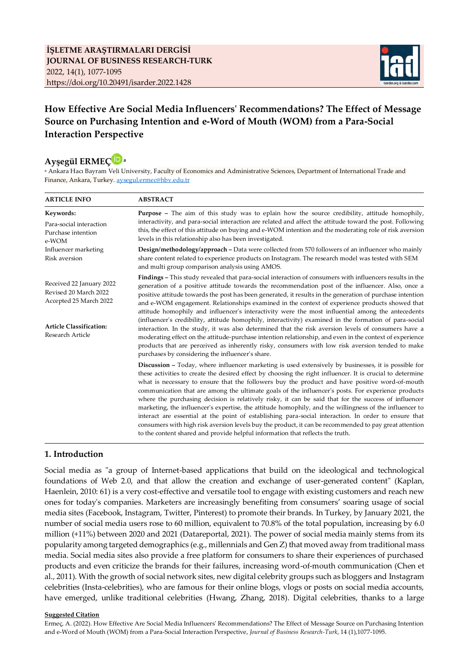

# **How Effective Are Social Media Influencers' Recommendations? The Effect of Message Source on Purchasing Intention and e-Word of Mouth (WOM) from a Para-Social Interaction Perspective**



<sup>a</sup> Ankara Hacı Bayram Veli University, Faculty of Economics and Administrative Sciences, Department of International Trade and Finance, Ankara, Turkey. [aysegul.ermec@hbv.edu.tr](mailto:aysegul.ermec@hbv.edu.tr)

| <b>ARTICLE INFO</b>                                                         | <b>ABSTRACT</b>                                                                                                                                                                                                                                                                                                                                                                                                                                                                                                                                                                                                                                                                                                                                                                                                                                                                                                                                          |  |  |  |  |
|-----------------------------------------------------------------------------|----------------------------------------------------------------------------------------------------------------------------------------------------------------------------------------------------------------------------------------------------------------------------------------------------------------------------------------------------------------------------------------------------------------------------------------------------------------------------------------------------------------------------------------------------------------------------------------------------------------------------------------------------------------------------------------------------------------------------------------------------------------------------------------------------------------------------------------------------------------------------------------------------------------------------------------------------------|--|--|--|--|
| Keywords:                                                                   | Purpose - The aim of this study was to eplain how the source credibility, attitude homophily,<br>interactivity, and para-social interaction are related and affect the attitude toward the post. Following<br>this, the effect of this attitude on buying and e-WOM intention and the moderating role of risk aversion<br>levels in this relationship also has been investigated.                                                                                                                                                                                                                                                                                                                                                                                                                                                                                                                                                                        |  |  |  |  |
| Para-social interaction<br>Purchase intention<br>e-WOM                      |                                                                                                                                                                                                                                                                                                                                                                                                                                                                                                                                                                                                                                                                                                                                                                                                                                                                                                                                                          |  |  |  |  |
| Influencer marketing<br>Risk aversion                                       | <b>Design/methodology/approach – Data were collected from 570 followers of an influencer who mainly</b><br>share content related to experience products on Instagram. The research model was tested with SEM<br>and multi group comparison analysis using AMOS.                                                                                                                                                                                                                                                                                                                                                                                                                                                                                                                                                                                                                                                                                          |  |  |  |  |
| Received 22 January 2022<br>Revised 20 March 2022<br>Accepted 25 March 2022 | <b>Findings</b> – This study revealed that para-social interaction of consumers with influencers results in the<br>generation of a positive attitude towards the recommendation post of the influencer. Also, once a<br>positive attitude towards the post has been generated, it results in the generation of purchase intention<br>and e-WOM engagement. Relationships examined in the context of experience products showed that<br>attitude homophily and influencer's interactivity were the most influential among the antecedents                                                                                                                                                                                                                                                                                                                                                                                                                 |  |  |  |  |
| <b>Article Classification:</b><br>Research Article                          | (influencer's credibility, attitude homophily, interactivity) examined in the formation of para-social<br>interaction. In the study, it was also determined that the risk aversion levels of consumers have a<br>moderating effect on the attitude-purchase intention relationship, and even in the context of experience<br>products that are perceived as inherently risky, consumers with low risk aversion tended to make<br>purchases by considering the influencer's share.                                                                                                                                                                                                                                                                                                                                                                                                                                                                        |  |  |  |  |
|                                                                             | <b>Discussion</b> – Today, where influencer marketing is used extensively by businesses, it is possible for<br>these activities to create the desired effect by choosing the right influencer. It is crucial to determine<br>what is necessary to ensure that the followers buy the product and have positive word-of-mouth<br>communication that are among the ultimate goals of the influencer's posts. For experience products<br>where the purchasing decision is relatively risky, it can be said that for the success of influencer<br>marketing, the influencer's expertise, the attitude homophily, and the willingness of the influencer to<br>interact are essential at the point of establishing para-social interaction. In order to ensure that<br>consumers with high risk aversion levels buy the product, it can be recommended to pay great attention<br>to the content shared and provide helpful information that reflects the truth. |  |  |  |  |

#### **1. Introduction**

Social media as "a group of Internet-based applications that build on the ideological and technological foundations of Web 2.0, and that allow the creation and exchange of user-generated content" (Kaplan, Haenlein, 2010: 61) is a very cost-effective and versatile tool to engage with existing customers and reach new ones for today's companies. Marketers are increasingly benefiting from consumers' soaring usage of social media sites (Facebook, Instagram, Twitter, Pinterest) to promote their brands. In Turkey, by January 2021, the number of social media users rose to 60 million, equivalent to 70.8% of the total population, increasing by 6.0 million (+11%) between 2020 and 2021 (Datareportal, 2021). The power of social media mainly stems from its popularity among targeted demographics (e.g., millennials and Gen Z) that moved away from traditional mass media. Social media sites also provide a free platform for consumers to share their experiences of purchased products and even criticize the brands for their failures, increasing word-of-mouth communication (Chen et al., 2011). With the growth of social network sites, new digital celebrity groups such as bloggers and Instagram celebrities (Insta-celebrities), who are famous for their online blogs, vlogs or posts on social media accounts, have emerged, unlike traditional celebrities (Hwang, Zhang, 2018). Digital celebrities, thanks to a large

#### **Suggested Citation**

Ermeç, A. (2022). How Effective Are Social Media Influencers' Recommendations? The Effect of Message Source on Purchasing Intention and e-Word of Mouth (WOM) from a Para-Social Interaction Perspective, *Journal of Business Research-Turk*, 14 (1),1077-1095.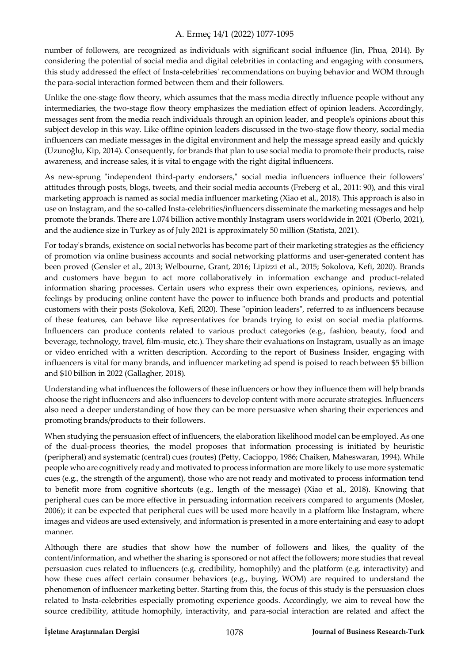number of followers, are recognized as individuals with significant social influence (Jin, Phua, 2014). By considering the potential of social media and digital celebrities in contacting and engaging with consumers, this study addressed the effect of Insta-celebrities' recommendations on buying behavior and WOM through the para-social interaction formed between them and their followers.

Unlike the one-stage flow theory, which assumes that the mass media directly influence people without any intermediaries, the two-stage flow theory emphasizes the mediation effect of opinion leaders. Accordingly, messages sent from the media reach individuals through an opinion leader, and people's opinions about this subject develop in this way. Like offline opinion leaders discussed in the two-stage flow theory, social media influencers can mediate messages in the digital environment and help the message spread easily and quickly (Uzunoğlu, Kip, 2014). Consequently, for brands that plan to use social media to promote their products, raise awareness, and increase sales, it is vital to engage with the right digital influencers.

As new-sprung "independent third-party endorsers," social media influencers influence their followers' attitudes through posts, blogs, tweets, and their social media accounts (Freberg et al., 2011: 90), and this viral marketing approach is named as social media influencer marketing (Xiao et al., 2018). This approach is also in use on Instagram, and the so-called Insta-celebrities/influencers disseminate the marketing messages and help promote the brands. There are 1.074 billion active monthly Instagram users worldwide in 2021 (Oberlo, 2021), and the audience size in Turkey as of July 2021 is approximately 50 million (Statista, 2021).

For today's brands, existence on social networks has become part of their marketing strategies as the efficiency of promotion via online business accounts and social networking platforms and user-generated content has been proved (Gensler et al., 2013; Welbourne, Grant, 2016; Lipizzi et al., 2015; Sokolova, Kefi, 2020). Brands and customers have begun to act more collaboratively in information exchange and product-related information sharing processes. Certain users who express their own experiences, opinions, reviews, and feelings by producing online content have the power to influence both brands and products and potential customers with their posts (Sokolova, Kefi, 2020). These "opinion leaders", referred to as influencers because of these features, can behave like representatives for brands trying to exist on social media platforms. Influencers can produce contents related to various product categories (e.g., fashion, beauty, food and beverage, technology, travel, film-music, etc.). They share their evaluations on Instagram, usually as an image or video enriched with a written description. According to the report of Business Insider, engaging with influencers is vital for many brands, and influencer marketing ad spend is poised to reach between \$5 billion and \$10 billion in 2022 (Gallagher, 2018).

Understanding what influences the followers of these influencers or how they influence them will help brands choose the right influencers and also influencers to develop content with more accurate strategies. Influencers also need a deeper understanding of how they can be more persuasive when sharing their experiences and promoting brands/products to their followers.

When studying the persuasion effect of influencers, the elaboration likelihood model can be employed. As one of the dual-process theories, the model proposes that information processing is initiated by heuristic (peripheral) and systematic (central) cues (routes) (Petty, Cacioppo, 1986; Chaiken, Maheswaran, 1994). While people who are cognitively ready and motivated to process information are more likely to use more systematic cues (e.g., the strength of the argument), those who are not ready and motivated to process information tend to benefit more from cognitive shortcuts (e.g., length of the message) (Xiao et al., 2018). Knowing that peripheral cues can be more effective in persuading information receivers compared to arguments (Mosler, 2006); it can be expected that peripheral cues will be used more heavily in a platform like Instagram, where images and videos are used extensively, and information is presented in a more entertaining and easy to adopt manner.

Although there are studies that show how the number of followers and likes, the quality of the content/information, and whether the sharing is sponsored or not affect the followers; more studies that reveal persuasion cues related to influencers (e.g. credibility, homophily) and the platform (e.g. interactivity) and how these cues affect certain consumer behaviors (e.g., buying, WOM) are required to understand the phenomenon of influencer marketing better. Starting from this, the focus of this study is the persuasion clues related to Insta-celebrities especially promoting experience goods. Accordingly, we aim to reveal how the source credibility, attitude homophily, interactivity, and para-social interaction are related and affect the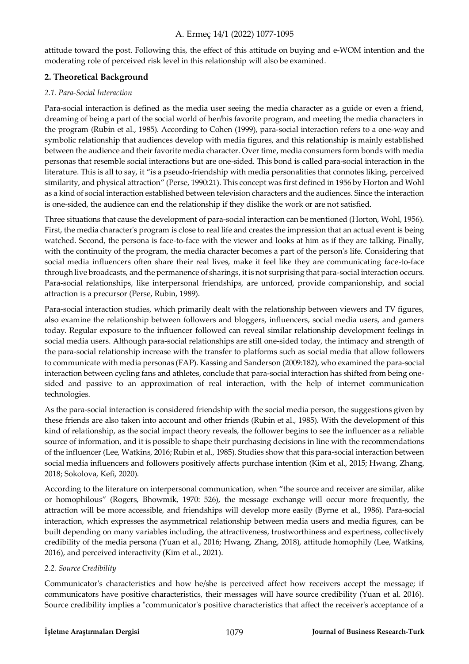attitude toward the post. Following this, the effect of this attitude on buying and e-WOM intention and the moderating role of perceived risk level in this relationship will also be examined.

## **2. Theoretical Background**

## *2.1. Para-Social Interaction*

Para-social interaction is defined as the media user seeing the media character as a guide or even a friend, dreaming of being a part of the social world of her/his favorite program, and meeting the media characters in the program (Rubin et al., 1985). According to Cohen (1999), para-social interaction refers to a one-way and symbolic relationship that audiences develop with media figures, and this relationship is mainly established between the audience and their favorite media character. Over time, media consumers form bonds with media personas that resemble social interactions but are one-sided. This bond is called para-social interaction in the literature. This is all to say, it "is a pseudo-friendship with media personalities that connotes liking, perceived similarity, and physical attraction" (Perse, 1990:21). This concept was first defined in 1956 by Horton and Wohl as a kind of social interaction established between television characters and the audiences. Since the interaction is one-sided, the audience can end the relationship if they dislike the work or are not satisfied.

Three situations that cause the development of para-social interaction can be mentioned (Horton, Wohl, 1956). First, the media character's program is close to real life and creates the impression that an actual event is being watched. Second, the persona is face-to-face with the viewer and looks at him as if they are talking. Finally, with the continuity of the program, the media character becomes a part of the person's life. Considering that social media influencers often share their real lives, make it feel like they are communicating face-to-face through live broadcasts, and the permanence of sharings, it is not surprising that para-social interaction occurs. Para-social relationships, like interpersonal friendships, are unforced, provide companionship, and social attraction is a precursor (Perse, Rubin, 1989).

Para-social interaction studies, which primarily dealt with the relationship between viewers and TV figures, also examine the relationship between followers and bloggers, influencers, social media users, and gamers today. Regular exposure to the influencer followed can reveal similar relationship development feelings in social media users. Although para-social relationships are still one-sided today, the intimacy and strength of the para-social relationship increase with the transfer to platforms such as social media that allow followers to communicate with media personas (FAP). Kassing and Sanderson (2009:182), who examined the para-social interaction between cycling fans and athletes, conclude that para-social interaction has shifted from being onesided and passive to an approximation of real interaction, with the help of internet communication technologies.

As the para-social interaction is considered friendship with the social media person, the suggestions given by these friends are also taken into account and other friends (Rubin et al., 1985). With the development of this kind of relationship, as the social impact theory reveals, the follower begins to see the influencer as a reliable source of information, and it is possible to shape their purchasing decisions in line with the recommendations of the influencer (Lee, Watkins, 2016; Rubin et al., 1985). Studies show that this para-social interaction between social media influencers and followers positively affects purchase intention (Kim et al., 2015; Hwang, Zhang, 2018; Sokolova, Kefi, 2020).

According to the literature on interpersonal communication, when "the source and receiver are similar, alike or homophilous" (Rogers, Bhowmik, 1970: 526), the message exchange will occur more frequently, the attraction will be more accessible, and friendships will develop more easily (Byrne et al., 1986). Para-social interaction, which expresses the asymmetrical relationship between media users and media figures, can be built depending on many variables including, the attractiveness, trustworthiness and expertness, collectively credibility of the media persona (Yuan et al., 2016; Hwang, Zhang, 2018), attitude homophily (Lee, Watkins, 2016), and perceived interactivity (Kim et al., 2021).

## *2.2. Source Credibility*

Communicator's characteristics and how he/she is perceived affect how receivers accept the message; if communicators have positive characteristics, their messages will have source credibility (Yuan et al. 2016). Source credibility implies a "communicator's positive characteristics that affect the receiver's acceptance of a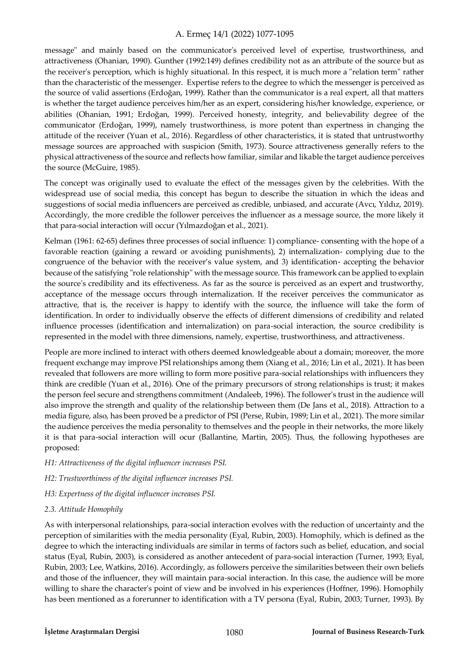message" and mainly based on the communicator's perceived level of expertise, trustworthiness, and attractiveness (Ohanian, 1990). Gunther (1992:149) defines credibility not as an attribute of the source but as the receiver's perception, which is highly situational. In this respect, it is much more a "relation term" rather than the characteristic of the messenger. Expertise refers to the degree to which the messenger is perceived as the source of valid assertions (Erdoğan, 1999). Rather than the communicator is a real expert, all that matters is whether the target audience perceives him/her as an expert, considering his/her knowledge, experience, or abilities (Ohanian, 1991; Erdoğan, 1999). Perceived honesty, integrity, and believability degree of the communicator (Erdoğan, 1999), namely trustworthiness, is more potent than expertness in changing the attitude of the receiver (Yuan et al., 2016). Regardless of other characteristics, it is stated that untrustworthy message sources are approached with suspicion (Smith, 1973). Source attractiveness generally refers to the physical attractiveness of the source and reflects how familiar, similar and likable the target audience perceives the source (McGuire, 1985).

The concept was originally used to evaluate the effect of the messages given by the celebrities. With the widespread use of social media, this concept has begun to describe the situation in which the ideas and suggestions of social media influencers are perceived as credible, unbiased, and accurate (Avcı, Yıldız, 2019). Accordingly, the more credible the follower perceives the influencer as a message source, the more likely it that para-social interaction will occur (Yılmazdoğan et al., 2021).

Kelman (1961: 62-65) defines three processes of social influence: 1) compliance- consenting with the hope of a favorable reaction (gaining a reward or avoiding punishments), 2) internalization- complying due to the congruence of the behavior with the receiver's value system, and 3) identification- accepting the behavior because of the satisfying "role relationship" with the message source. This framework can be applied to explain the source's credibility and its effectiveness. As far as the source is perceived as an expert and trustworthy, acceptance of the message occurs through internalization. If the receiver perceives the communicator as attractive, that is, the receiver is happy to identify with the source, the influence will take the form of identification. In order to individually observe the effects of different dimensions of credibility and related influence processes (identification and internalization) on para-social interaction, the source credibility is represented in the model with three dimensions, namely, expertise, trustworthiness, and attractiveness.

People are more inclined to interact with others deemed knowledgeable about a domain; moreover, the more frequent exchange may improve PSI relationships among them (Xiang et al., 2016; Lin et al., 2021). It has been revealed that followers are more willing to form more positive para-social relationships with influencers they think are credible (Yuan et al., 2016). One of the primary precursors of strong relationships is trust; it makes the person feel secure and strengthens commitment (Andaleeb, 1996). The follower's trust in the audience will also improve the strength and quality of the relationship between them (De Jans et al., 2018). Attraction to a media figure, also, has been proved be a predictor of PSI (Perse, Rubin, 1989; Lin et al., 2021). The more similar the audience perceives the media personality to themselves and the people in their networks, the more likely it is that para-social interaction will ocur (Ballantine, Martin, 2005). Thus, the following hypotheses are proposed:

- *H1: Attractiveness of the digital influencer increases PSI.*
- *H2: Trustworthiness of the digital influencer increases PSI.*
- *H3: Expertness of the digital influencer increases PSI.*

#### *2.3. Attitude Homophily*

As with interpersonal relationships, para-social interaction evolves with the reduction of uncertainty and the perception of similarities with the media personality (Eyal, Rubin, 2003). Homophily, which is defined as the degree to which the interacting individuals are similar in terms of factors such as belief, education, and social status (Eyal, Rubin, 2003), is considered as another antecedent of para-social interaction (Turner, 1993; Eyal, Rubin, 2003; Lee, Watkins, 2016). Accordingly, as followers perceive the similarities between their own beliefs and those of the influencer, they will maintain para-social interaction. In this case, the audience will be more willing to share the character's point of view and be involved in his experiences (Hoffner, 1996). Homophily has been mentioned as a forerunner to identification with a TV persona (Eyal, Rubin, 2003; Turner, 1993). By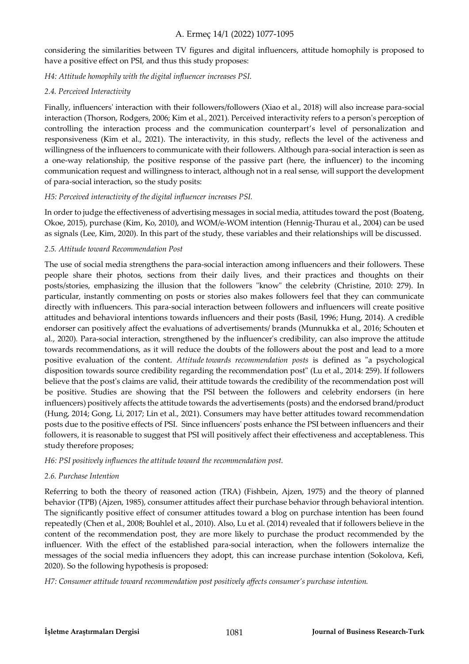considering the similarities between TV figures and digital influencers, attitude homophily is proposed to have a positive effect on PSI, and thus this study proposes:

*H4: Attitude homophily with the digital influencer increases PSI.* 

## *2.4. Perceived Interactivity*

Finally, influencers' interaction with their followers/followers (Xiao et al., 2018) will also increase para-social interaction (Thorson, Rodgers, 2006; Kim et al., 2021). Perceived interactivity refers to a person's perception of controlling the interaction process and the communication counterpart's level of personalization and responsiveness (Kim et al., 2021). The interactivity, in this study, reflects the level of the activeness and willingness of the influencers to communicate with their followers. Although para-social interaction is seen as a one-way relationship, the positive response of the passive part (here, the influencer) to the incoming communication request and willingness to interact, although not in a real sense, will support the development of para-social interaction, so the study posits:

## *H5: Perceived interactivity of the digital influencer increases PSI.*

In order to judge the effectiveness of advertising messages in social media, attitudes toward the post (Boateng, Okoe, 2015), purchase (Kim, Ko, 2010), and WOM/e-WOM intention (Hennig-Thurau et al., 2004) can be used as signals (Lee, Kim, 2020). In this part of the study, these variables and their relationships will be discussed.

## *2.5. Attitude toward Recommendation Post*

The use of social media strengthens the para-social interaction among influencers and their followers. These people share their photos, sections from their daily lives, and their practices and thoughts on their posts/stories, emphasizing the illusion that the followers "know" the celebrity (Christine, 2010: 279). In particular, instantly commenting on posts or stories also makes followers feel that they can communicate directly with influencers. This para-social interaction between followers and influencers will create positive attitudes and behavioral intentions towards influencers and their posts (Basil, 1996; Hung, 2014). A credible endorser can positively affect the evaluations of advertisements/ brands (Munnukka et al., 2016; Schouten et al., 2020). Para-social interaction, strengthened by the influencer's credibility, can also improve the attitude towards recommendations, as it will reduce the doubts of the followers about the post and lead to a more positive evaluation of the content. *Attitude towards recommendation posts* is defined as "a psychological disposition towards source credibility regarding the recommendation post" (Lu et al., 2014: 259). If followers believe that the post's claims are valid, their attitude towards the credibility of the recommendation post will be positive. Studies are showing that the PSI between the followers and celebrity endorsers (in here influencers) positively affects the attitude towards the advertisements (posts) and the endorsed brand/product (Hung, 2014; Gong, Li, 2017; Lin et al., 2021). Consumers may have better attitudes toward recommendation posts due to the positive effects of PSI. Since influencers' posts enhance the PSI between influencers and their followers, it is reasonable to suggest that PSI will positively affect their effectiveness and acceptableness. This study therefore proposes;

## *H6: PSI positively influences the attitude toward the recommendation post.*

## *2.6. Purchase Intention*

Referring to both the theory of reasoned action (TRA) (Fishbein, Ajzen, 1975) and the theory of planned behavior (TPB) (Ajzen, 1985), consumer attitudes affect their purchase behavior through behavioral intention. The significantly positive effect of consumer attitudes toward a blog on purchase intention has been found repeatedly (Chen et al., 2008; Bouhlel et al., 2010). Also, Lu et al. (2014) revealed that if followers believe in the content of the recommendation post, they are more likely to purchase the product recommended by the influencer. With the effect of the established para-social interaction, when the followers internalize the messages of the social media influencers they adopt, this can increase purchase intention (Sokolova, Kefi, 2020). So the following hypothesis is proposed:

*H7: Consumer attitude toward recommendation post positively affects consumer's purchase intention.*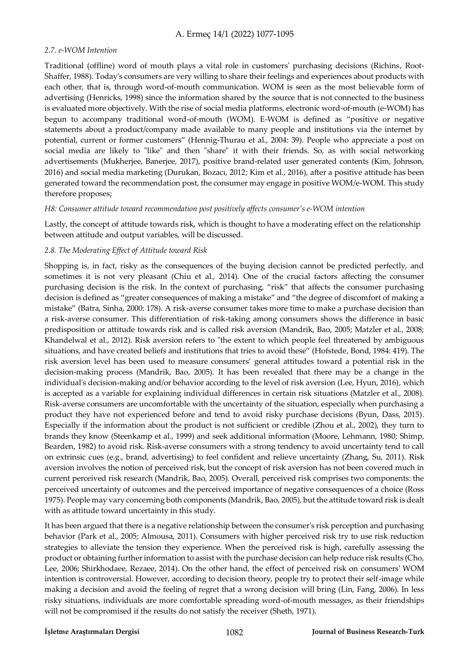## *2.7. e-WOM Intention*

Traditional (offline) word of mouth plays a vital role in customers' purchasing decisions (Richins, Root-Shaffer, 1988). Today's consumers are very willing to share their feelings and experiences about products with each other, that is, through word-of-mouth communication. WOM is seen as the most believable form of advertising (Henricks, 1998) since the information shared by the source that is not connected to the business is evaluated more objectively. With the rise of social media platforms, electronic word-of-mouth (e-WOM) has begun to accompany traditional word-of-mouth (WOM). E-WOM is defined as "positive or negative statements about a product/company made available to many people and institutions via the internet by potential, current or former customers" (Hennig-Thurau et al., 2004: 39). People who appreciate a post on social media are likely to "like" and then "share" it with their friends. So, as with social networking advertisements (Mukherjee, Banerjee, 2017), positive brand-related user generated contents (Kim, Johnson, 2016) and social media marketing (Durukan, Bozacı, 2012; Kim et al., 2016), after a positive attitude has been generated toward the recommendation post, the consumer may engage in positive WOM/e-WOM. This study therefore proposes;

#### *H8: Consumer attitude toward recommendation post positively affects consumer's e-WOM intention*

Lastly, the concept of attitude towards risk, which is thought to have a moderating effect on the relationship between attitude and output variables, will be discussed.

## *2.8. The Moderating Effect of Attitude toward Risk*

Shopping is, in fact, risky as the consequences of the buying decision cannot be predicted perfectly, and sometimes it is not very pleasant (Chiu et al., 2014). One of the crucial factors affecting the consumer purchasing decision is the risk. In the context of purchasing, "risk" that affects the consumer purchasing decision is defined as "greater consequences of making a mistake" and "the degree of discomfort of making a mistake" (Batra, Sinha, 2000: 178). A risk-averse consumer takes more time to make a purchase decision than a risk-averse consumer. This differentiation of risk-taking among consumers shows the difference in basic predisposition or attitude towards risk and is called risk aversion (Mandrik, Bao, 2005; Matzler et al., 2008; Khandelwal et al., 2012). Risk aversion refers to "the extent to which people feel threatened by ambiguous situations, and have created beliefs and institutions that tries to avoid these" (Hofstede, Bond, 1984: 419). The risk aversion level has been used to measure consumers' general attitudes toward a potential risk in the decision-making process (Mandrik, Bao, 2005). It has been revealed that there may be a change in the individual's decision-making and/or behavior according to the level of risk aversion (Lee, Hyun, 2016), which is accepted as a variable for explaining individual differences in certain risk situations (Matzler et al., 2008). Risk-averse consumers are uncomfortable with the uncertainty of the situation, especially when purchasing a product they have not experienced before and tend to avoid risky purchase decisions (Byun, Dass, 2015). Especially if the information about the product is not sufficient or credible (Zhou et al., 2002), they turn to brands they know (Steenkamp et al., 1999) and seek additional information (Moore, Lehmann, 1980; Shimp, Bearden, 1982) to avoid risk. Risk-averse consumers with a strong tendency to avoid uncertainty tend to call on extrinsic cues (e.g., brand, advertising) to feel confident and relieve uncertainty (Zhang, Su, 2011). Risk aversion involves the notion of perceived risk, but the concept of risk aversion has not been covered much in current perceived risk research (Mandrik, Bao, 2005). Overall, perceived risk comprises two components: the perceived uncertainty of outcomes and the perceived importance of negative consequences of a choice (Ross 1975). People may vary concerning both components (Mandrik, Bao, 2005), but the attitude toward risk is dealt with as attitude toward uncertainty in this study.

It has been argued that there is a negative relationship between the consumer's risk perception and purchasing behavior (Park et al., 2005; Almousa, 2011). Consumers with higher perceived risk try to use risk reduction strategies to alleviate the tension they experience. When the perceived risk is high, carefully assessing the product or obtaining further information to assist with the purchase decision can help reduce risk results (Cho, Lee, 2006; Shirkhodaee, Rezaee, 2014). On the other hand, the effect of perceived risk on consumers' WOM intention is controversial. However, according to decision theory, people try to protect their self-image while making a decision and avoid the feeling of regret that a wrong decision will bring (Lin, Fang, 2006). In less risky situations, individuals are more comfortable spreading word-of-mouth messages, as their friendships will not be compromised if the results do not satisfy the receiver (Sheth, 1971).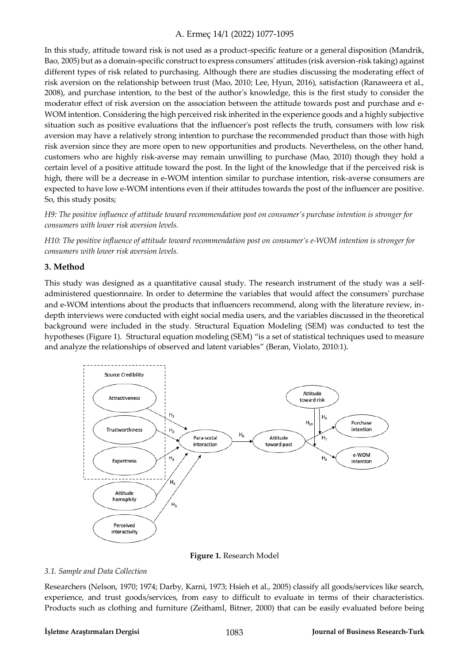In this study, attitude toward risk is not used as a product-specific feature or a general disposition (Mandrik, Bao, 2005) but as a domain-specific construct to express consumers' attitudes (risk aversion-risk taking) against different types of risk related to purchasing. Although there are studies discussing the moderating effect of risk aversion on the relationship between trust (Mao, 2010; Lee, Hyun, 2016), satisfaction (Ranaweera et al., 2008), and purchase intention, to the best of the author's knowledge, this is the first study to consider the moderator effect of risk aversion on the association between the attitude towards post and purchase and e-WOM intention. Considering the high perceived risk inherited in the experience goods and a highly subjective situation such as positive evaluations that the influencer's post reflects the truth, consumers with low risk aversion may have a relatively strong intention to purchase the recommended product than those with high risk aversion since they are more open to new opportunities and products. Nevertheless, on the other hand, customers who are highly risk-averse may remain unwilling to purchase (Mao, 2010) though they hold a certain level of a positive attitude toward the post. In the light of the knowledge that if the perceived risk is high, there will be a decrease in e-WOM intention similar to purchase intention, risk-averse consumers are expected to have low e-WOM intentions even if their attitudes towards the post of the influencer are positive. So, this study posits;

*H9: The positive influence of attitude toward recommendation post on consumer's purchase intention is stronger for consumers with lower risk aversion levels.* 

*H10: The positive influence of attitude toward recommendation post on consumer's e-WOM intention is stronger for consumers with lower risk aversion levels.* 

## **3. Method**

This study was designed as a quantitative causal study. The research instrument of the study was a selfadministered questionnaire. In order to determine the variables that would affect the consumers' purchase and e-WOM intentions about the products that influencers recommend, along with the literature review, indepth interviews were conducted with eight social media users, and the variables discussed in the theoretical background were included in the study. Structural Equation Modeling (SEM) was conducted to test the hypotheses (Figure 1). Structural equation modeling (SEM) "is a set of statistical techniques used to measure and analyze the relationships of observed and latent variables" (Beran, Violato, 2010:1).



**Figure 1.** Research Model

#### *3.1. Sample and Data Collection*

Researchers (Nelson, 1970; 1974; Darby, Karni, 1973; Hsieh et al., 2005) classify all goods/services like search, experience, and trust goods/services, from easy to difficult to evaluate in terms of their characteristics. Products such as clothing and furniture (Zeithaml, Bitner, 2000) that can be easily evaluated before being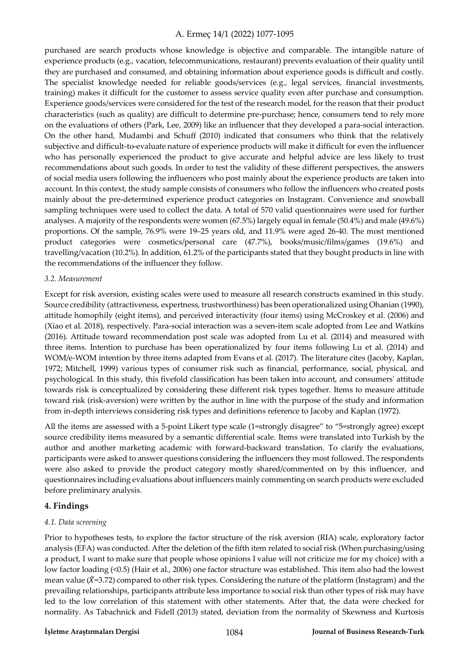purchased are search products whose knowledge is objective and comparable. The intangible nature of experience products (e.g., vacation, telecommunications, restaurant) prevents evaluation of their quality until they are purchased and consumed, and obtaining information about experience goods is difficult and costly. The specialist knowledge needed for reliable goods/services (e.g., legal services, financial investments, training) makes it difficult for the customer to assess service quality even after purchase and consumption. Experience goods/services were considered for the test of the research model, for the reason that their product characteristics (such as quality) are difficult to determine pre-purchase; hence, consumers tend to rely more on the evaluations of others (Park, Lee, 2009) like an influencer that they developed a para-social interaction. On the other hand, Mudambi and Schuff (2010) indicated that consumers who think that the relatively subjective and difficult-to-evaluate nature of experience products will make it difficult for even the influencer who has personally experienced the product to give accurate and helpful advice are less likely to trust recommendations about such goods. In order to test the validity of these different perspectives, the answers of social media users following the influencers who post mainly about the experience products are taken into account. In this context, the study sample consists of consumers who follow the influencers who created posts mainly about the pre-determined experience product categories on Instagram. Convenience and snowball sampling techniques were used to collect the data. A total of 570 valid questionnaires were used for further analyses. A majority of the respondents were women (67.5%) largely equal in female (50.4%) and male (49.6%) proportions. Of the sample, 76.9% were 19–25 years old, and 11.9% were aged 26-40. The most mentioned product categories were cosmetics/personal care (47.7%), books/music/films/games (19.6%) and travelling/vacation (10.2%). In addition, 61.2% of the participants stated that they bought products in line with the recommendations of the influencer they follow.

#### *3.2. Measurement*

Except for risk aversion, existing scales were used to measure all research constructs examined in this study. Source credibility (attractiveness, expertness, trustworthiness) has been operationalized using Ohanian (1990), attitude homophily (eight items), and perceived interactivity (four items) using McCroskey et al. (2006) and (Xiao et al. 2018), respectively. Para-social interaction was a seven-item scale adopted from Lee and Watkins (2016). Attitude toward recommendation post scale was adopted from Lu et al. (2014) and measured with three items. Intention to purchase has been operationalized by four items following Lu et al. (2014) and WOM/e-WOM intention by three items adapted from Evans et al. (2017). The literature cites (Jacoby, Kaplan, 1972; Mitchell, 1999) various types of consumer risk such as financial, performance, social, physical, and psychological. In this study, this fivefold classification has been taken into account, and consumers' attitude towards risk is conceptualized by considering these different risk types together. Items to measure attitude toward risk (risk-aversion) were written by the author in line with the purpose of the study and information from in-depth interviews considering risk types and definitions reference to Jacoby and Kaplan (1972).

All the items are assessed with a 5-point Likert type scale (1=strongly disagree" to "5=strongly agree) except source credibility items measured by a semantic differential scale. Items were translated into Turkish by the author and another marketing academic with forward-backward translation. To clarify the evaluations, participants were asked to answer questions considering the influencers they most followed. The respondents were also asked to provide the product category mostly shared/commented on by this influencer, and questionnaires including evaluations about influencers mainly commenting on search products were excluded before preliminary analysis.

#### **4. Findings**

#### *4.1. Data screening*

Prior to hypotheses tests, to explore the factor structure of the risk aversion (RIA) scale, exploratory factor analysis (EFA) was conducted. After the deletion of the fifth item related to social risk (When purchasing/using a product, I want to make sure that people whose opinions I value will not criticize me for my choice) with a low factor loading (<0.5) (Hair et al., 2006) one factor structure was established. This item also had the lowest mean value (*X*=3.72) compared to other risk types. Considering the nature of the platform (Instagram) and the prevailing relationships, participants attribute less importance to social risk than other types of risk may have led to the low correlation of this statement with other statements. After that, the data were checked for normality. As Tabachnick and Fidell (2013) stated, deviation from the normality of Skewness and Kurtosis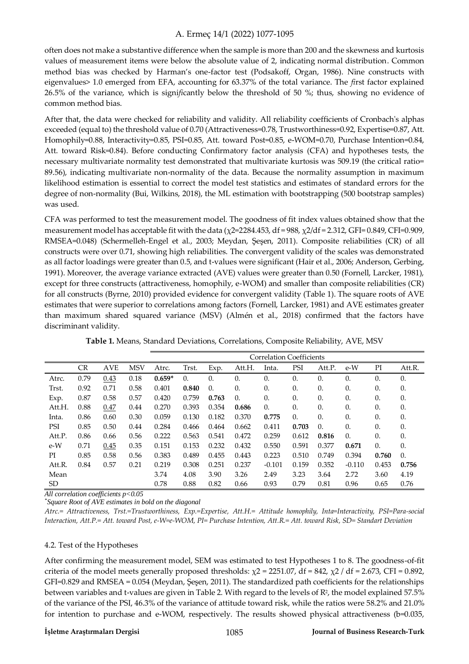often does not make a substantive difference when the sample is more than 200 and the skewness and kurtosis values of measurement items were below the absolute value of 2, indicating normal distribution. Common method bias was checked by Harman's one-factor test (Podsakoff, Organ, 1986). Nine constructs with eigenvalues> 1.0 emerged from EFA, accounting for 63.37% of the total variance. The *fi*rst factor explained 26.5% of the variance, which is signi*fi*cantly below the threshold of 50 %; thus, showing no evidence of common method bias.

After that, the data were checked for reliability and validity. All reliability coefficients of Cronbach's alphas exceeded (equal to) the threshold value of 0.70 (Attractiveness=0.78, Trustworthiness=0.92, Expertise=0.87, Att. Homophily=0.88, Interactivity=0.85, PSI=0.85, Att. toward Post=0.85, e-WOM=0.70, Purchase Intention=0.84, Att. toward Risk=0.84). Before conducting Confirmatory factor analysis (CFA) and hypotheses tests, the necessary multivariate normality test demonstrated that multivariate kurtosis was 509.19 (the critical ratio= 89.56), indicating multivariate non-normality of the data. Because the normality assumption in maximum likelihood estimation is essential to correct the model test statistics and estimates of standard errors for the degree of non-normality (Bui, Wilkins, 2018), the ML estimation with bootstrapping (500 bootstrap samples) was used.

CFA was performed to test the measurement model. The goodness of fit index values obtained show that the measurement model has acceptable fit with the data ( $\chi$ 2=2284.453, df = 988,  $\chi$ 2/df = 2.312, GFI= 0.849, CFI=0.909, RMSEA=0.048) (Schermelleh-Engel et al., 2003; Meydan, Şeşen, 2011). Composite reliabilities (CR) of all constructs were over 0.71, showing high reliabilities. The convergent validity of the scales was demonstrated as all factor loadings were greater than 0.5, and t-values were significant (Hair et al., 2006; Anderson, Gerbing, 1991). Moreover, the average variance extracted (AVE) values were greater than 0.50 (Fornell, Larcker, 1981), except for three constructs (attractiveness, homophily, e-WOM) and smaller than composite reliabilities (CR) for all constructs (Byrne, 2010) provided evidence for convergent validity (Table 1). The square roots of AVE estimates that were superior to correlations among factors (Fornell, Larcker, 1981) and AVE estimates greater than maximum shared squared variance (MSV) (Almén et al., 2018) confirmed that the factors have discriminant validity.

|        |           |            |            | <b>Correlation Coefficients</b> |            |            |            |            |            |            |            |            |            |
|--------|-----------|------------|------------|---------------------------------|------------|------------|------------|------------|------------|------------|------------|------------|------------|
|        | <b>CR</b> | <b>AVE</b> | <b>MSV</b> | Atrc.                           | Trst.      | Exp.       | Att.H.     | Inta.      | PSI        | Att.P.     | $e-W$      | PI         | Att.R.     |
| Atrc.  | 0.79      | 0.43       | 0.18       | $0.659*$                        | $\theta$ . | $\theta$ . | 0.         | $\theta$ . | 0.         | $\theta$ . | $\theta$ . | $\theta$ . | $\theta$ . |
| Trst.  | 0.92      | 0.71       | 0.58       | 0.401                           | 0.840      | $\Omega$ . | $\theta$ . | $\theta$ . | 0.         | 0.         | $\theta$ . | $\theta$ . | 0.         |
| Exp.   | 0.87      | 0.58       | 0.57       | 0.420                           | 0.759      | 0.763      | $\theta$ . | 0.         | 0.         | 0.         | 0.         | 0.         | 0.         |
| Att.H. | 0.88      | 0.47       | 0.44       | 0.270                           | 0.393      | 0.354      | 0.686      | $\theta$ . | 0.         | 0.         | $\theta$ . | $\theta$ . | 0.         |
| Inta.  | 0.86      | 0.60       | 0.30       | 0.059                           | 0.130      | 0.182      | 0.370      | 0.775      | $\theta$ . | 0.         | $\theta$ . | 0.         | 0.         |
| PSI    | 0.85      | 0.50       | 0.44       | 0.284                           | 0.466      | 0.464      | 0.662      | 0.411      | 0.703      | 0.         | $\theta$ . | $\theta$ . | 0.         |
| Att.P. | 0.86      | 0.66       | 0.56       | 0.222                           | 0.563      | 0.541      | 0.472      | 0.259      | 0.612      | 0.816      | $\theta$ . | 0.         | 0.         |
| $e-W$  | 0.71      | 0.45       | 0.35       | 0.151                           | 0.153      | 0.232      | 0.432      | 0.550      | 0.591      | 0.377      | 0.671      | $\theta$ . | 0.         |
| PI     | 0.85      | 0.58       | 0.56       | 0.383                           | 0.489      | 0.455      | 0.443      | 0.223      | 0.510      | 0.749      | 0.394      | 0.760      | $\Omega$ . |
| Att.R. | 0.84      | 0.57       | 0.21       | 0.219                           | 0.308      | 0.251      | 0.237      | $-0.101$   | 0.159      | 0.352      | $-0.110$   | 0.453      | 0.756      |
| Mean   |           |            |            | 3.74                            | 4.08       | 3.90       | 3.26       | 2.49       | 3.23       | 3.64       | 2.72       | 3.60       | 4.19       |
| SD.    |           |            |            | 0.78                            | 0.88       | 0.82       | 0.66       | 0.93       | 0.79       | 0.81       | 0.96       | 0.65       | 0.76       |

**Table 1.** Means, Standard Deviations, Correlations, Composite Reliability, AVE, MSV

*All correlation coefficients p<0.05* 

*\* Square Root of AVE estimates in bold on the diagonal* 

*Atrc.= Attractiveness, Trst.=Trustworthiness, Exp.=Expertise, Att.H.= Attitude homophily, Inta=Interactivity, PSI=Para-social Interaction, Att.P.= Att. toward Post, e-W=e-WOM, PI= Purchase Intention, Att.R.= Att. toward Risk, SD= Standart Deviation* 

#### 4.2. Test of the Hypotheses

After confirming the measurement model, SEM was estimated to test Hypotheses 1 to 8. The goodness-of-fit criteria of the model meets generally proposed thresholds:  $\chi$ 2 = 2251.07, df = 842,  $\chi$ 2 / df = 2.673, CFI = 0.892, GFI=0.829 and RMSEA = 0.054 (Meydan, Şeşen, 2011). The standardized path coefficients for the relationships between variables and t-values are given in Table 2. With regard to the levels of R<sup>2</sup> , the model explained 57.5% of the variance of the PSI, 46.3% of the variance of attitude toward risk, while the ratios were 58.2% and 21.0% for intention to purchase and e-WOM, respectively. The results showed physical attractiveness (b=0.035,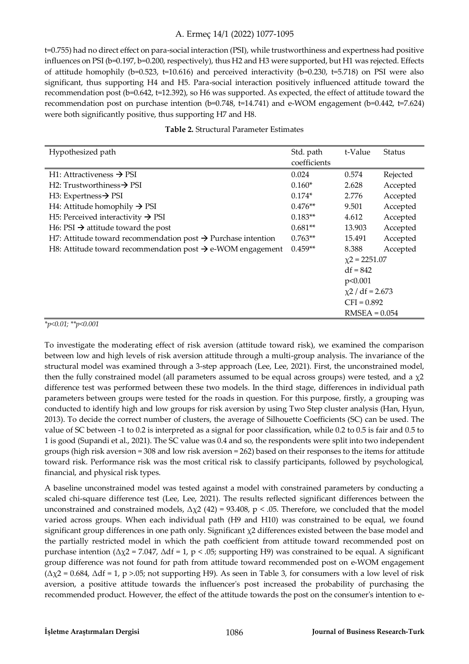t=0.755) had no direct effect on para-social interaction (PSI), while trustworthiness and expertness had positive influences on PSI (b=0.197, b=0.200, respectively), thus H2 and H3 were supported, but H1 was rejected. Effects of attitude homophily ( $b=0.523$ ,  $t=10.616$ ) and perceived interactivity ( $b=0.230$ ,  $t=5.718$ ) on PSI were also significant, thus supporting H4 and H5. Para-social interaction positively influenced attitude toward the recommendation post (b=0.642, t=12.392), so H6 was supported. As expected, the effect of attitude toward the recommendation post on purchase intention (b=0.748, t=14.741) and e-WOM engagement (b=0.442, t=7.624) were both significantly positive, thus supporting H7 and H8.

| Hypothesized path                                                        | Std. path    | t-Value               | Status   |  |
|--------------------------------------------------------------------------|--------------|-----------------------|----------|--|
|                                                                          | coefficients |                       |          |  |
| H1: Attractiveness $\rightarrow$ PSI                                     | 0.024        | 0.574                 | Rejected |  |
| H2: Trustworthiness $\rightarrow$ PSI                                    | $0.160*$     | 2.628                 | Accepted |  |
| H3: Expertness $\rightarrow$ PSI                                         | $0.174*$     | 2.776                 | Accepted |  |
| H4: Attitude homophily $\rightarrow$ PSI                                 | $0.476**$    | 9.501                 | Accepted |  |
| H <sub>5</sub> : Perceived interactivity $\rightarrow$ PSI               | $0.183**$    | 4.612                 | Accepted |  |
| H6: PSI $\rightarrow$ attitude toward the post                           | $0.681**$    | 13.903                | Accepted |  |
| H7: Attitude toward recommendation post $\rightarrow$ Purchase intention | $0.763**$    | 15.491                | Accepted |  |
| H8: Attitude toward recommendation post $\rightarrow$ e-WOM engagement   | $0.459**$    | 8.388                 | Accepted |  |
|                                                                          |              | $\chi$ 2 = 2251.07    |          |  |
|                                                                          |              | $df = 842$            |          |  |
|                                                                          |              | p<0.001               |          |  |
|                                                                          |              | $\chi$ 2 / df = 2.673 |          |  |
|                                                                          |              | $CFI = 0.892$         |          |  |
|                                                                          |              | $RMSEA = 0.054$       |          |  |

#### *\*p<0.01; \*\*p<0.001*

To investigate the moderating effect of risk aversion (attitude toward risk), we examined the comparison between low and high levels of risk aversion attitude through a multi-group analysis. The invariance of the structural model was examined through a 3-step approach (Lee, Lee, 2021). First, the unconstrained model, then the fully constrained model (all parameters assumed to be equal across groups) were tested, and a  $\chi$ 2 difference test was performed between these two models. In the third stage, differences in individual path parameters between groups were tested for the roads in question. For this purpose, firstly, a grouping was conducted to identify high and low groups for risk aversion by using Two Step cluster analysis (Han, Hyun, 2013). To decide the correct number of clusters, the average of Silhouette Coefficients (SC) can be used. The value of SC between -1 to 0.2 is interpreted as a signal for poor classification, while 0.2 to 0.5 is fair and 0.5 to 1 is good (Supandi et al., 2021). The SC value was 0.4 and so, the respondents were split into two independent groups (high risk aversion = 308 and low risk aversion = 262) based on their responses to the items for attitude toward risk. Performance risk was the most critical risk to classify participants, followed by psychological, financial, and physical risk types.

A baseline unconstrained model was tested against a model with constrained parameters by conducting a scaled chi-square difference test (Lee, Lee, 2021). The results reflected significant differences between the unconstrained and constrained models,  $\Delta \chi^2$  (42) = 93.408, p < .05. Therefore, we concluded that the model varied across groups. When each individual path (H9 and H10) was constrained to be equal, we found significant group differences in one path only. Significant  $\chi$ 2 differences existed between the base model and the partially restricted model in which the path coefficient from attitude toward recommended post on purchase intention ( $Δχ2 = 7.047$ ,  $Δdf = 1$ ,  $p < .05$ ; supporting H9) was constrained to be equal. A significant group difference was not found for path from attitude toward recommended post on e-WOM engagement  $(Δχ2 = 0.684, Δdf = 1, p > 0.05; not supporting H9).$  As seen in Table 3, for consumers with a low level of risk aversion, a positive attitude towards the influencer's post increased the probability of purchasing the recommended product. However, the effect of the attitude towards the post on the consumer's intention to e-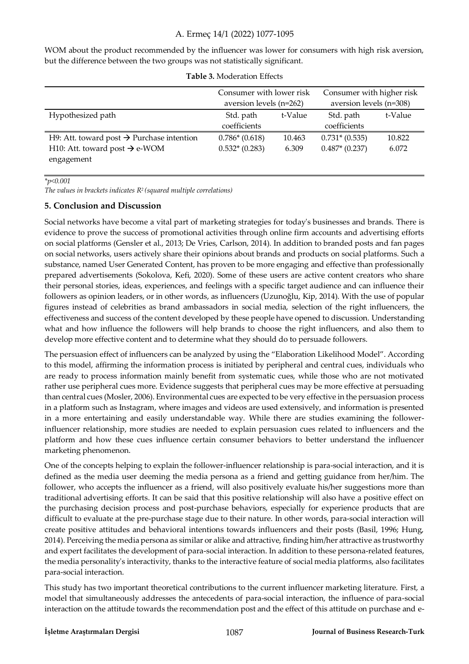WOM about the product recommended by the influencer was lower for consumers with high risk aversion, but the difference between the two groups was not statistically significant.

|                                                       | Consumer with lower risk |         | Consumer with higher risk |         |  |
|-------------------------------------------------------|--------------------------|---------|---------------------------|---------|--|
|                                                       | aversion levels (n=262)  |         | aversion levels (n=308)   |         |  |
| Hypothesized path                                     | Std. path                | t-Value | Std. path                 | t-Value |  |
|                                                       | coefficients             |         | coefficients              |         |  |
| H9: Att. toward post $\rightarrow$ Purchase intention | $0.786*(0.618)$          | 10.463  | $0.731*(0.535)$           | 10.822  |  |
| H10: Att. toward post $\rightarrow$ e-WOM             | $0.532*(0.283)$          | 6.309   | $0.487*$ (0.237)          | 6.072   |  |
| engagement                                            |                          |         |                           |         |  |

|  | Table 3. Moderation Effects |  |
|--|-----------------------------|--|
|--|-----------------------------|--|

*\*p<0.001* 

*The values in brackets indicates R2 (squared multiple correlations)* 

## **5. Conclusion and Discussion**

Social networks have become a vital part of marketing strategies for today's businesses and brands. There is evidence to prove the success of promotional activities through online firm accounts and advertising efforts on social platforms (Gensler et al., 2013; De Vries, Carlson, 2014). In addition to branded posts and fan pages on social networks, users actively share their opinions about brands and products on social platforms. Such a substance, named User Generated Content, has proven to be more engaging and effective than professionally prepared advertisements (Sokolova, Kefi, 2020). Some of these users are active content creators who share their personal stories, ideas, experiences, and feelings with a specific target audience and can influence their followers as opinion leaders, or in other words, as influencers (Uzunoğlu, Kip, 2014). With the use of popular figures instead of celebrities as brand ambassadors in social media, selection of the right influencers, the effectiveness and success of the content developed by these people have opened to discussion. Understanding what and how influence the followers will help brands to choose the right influencers, and also them to develop more effective content and to determine what they should do to persuade followers.

The persuasion effect of influencers can be analyzed by using the "Elaboration Likelihood Model". According to this model, affirming the information process is initiated by peripheral and central cues, individuals who are ready to process information mainly benefit from systematic cues, while those who are not motivated rather use peripheral cues more. Evidence suggests that peripheral cues may be more effective at persuading than central cues (Mosler, 2006). Environmental cues are expected to be very effective in the persuasion process in a platform such as Instagram, where images and videos are used extensively, and information is presented in a more entertaining and easily understandable way. While there are studies examining the followerinfluencer relationship, more studies are needed to explain persuasion cues related to influencers and the platform and how these cues influence certain consumer behaviors to better understand the influencer marketing phenomenon.

One of the concepts helping to explain the follower-influencer relationship is para-social interaction, and it is defined as the media user deeming the media persona as a friend and getting guidance from her/him. The follower, who accepts the influencer as a friend, will also positively evaluate his/her suggestions more than traditional advertising efforts. It can be said that this positive relationship will also have a positive effect on the purchasing decision process and post-purchase behaviors, especially for experience products that are difficult to evaluate at the pre-purchase stage due to their nature. In other words, para-social interaction will create positive attitudes and behavioral intentions towards influencers and their posts (Basil, 1996; Hung, 2014). Perceiving the media persona as similar or alike and attractive, finding him/her attractive as trustworthy and expert facilitates the development of para-social interaction. In addition to these persona-related features, the media personality's interactivity, thanks to the interactive feature of social media platforms, also facilitates para-social interaction.

This study has two important theoretical contributions to the current influencer marketing literature. First, a model that simultaneously addresses the antecedents of para-social interaction, the influence of para-social interaction on the attitude towards the recommendation post and the effect of this attitude on purchase and e-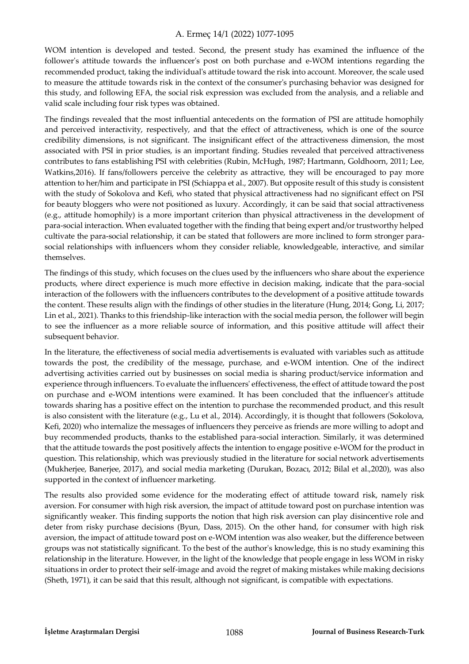WOM intention is developed and tested. Second, the present study has examined the influence of the follower's attitude towards the influencer's post on both purchase and e-WOM intentions regarding the recommended product, taking the individual's attitude toward the risk into account. Moreover, the scale used to measure the attitude towards risk in the context of the consumer's purchasing behavior was designed for this study, and following EFA, the social risk expression was excluded from the analysis, and a reliable and valid scale including four risk types was obtained.

The findings revealed that the most influential antecedents on the formation of PSI are attitude homophily and perceived interactivity, respectively, and that the effect of attractiveness, which is one of the source credibility dimensions, is not significant. The insignificant effect of the attractiveness dimension, the most associated with PSI in prior studies, is an important finding. Studies revealed that perceived attractiveness contributes to fans establishing PSI with celebrities (Rubin, McHugh, 1987; Hartmann, Goldhoorn, 2011; Lee, Watkins,2016). If fans/followers perceive the celebrity as attractive, they will be encouraged to pay more attention to her/him and participate in PSI (Schiappa et al., 2007). But opposite result of this study is consistent with the study of Sokolova and Kefi, who stated that physical attractiveness had no significant effect on PSI for beauty bloggers who were not positioned as luxury. Accordingly, it can be said that social attractiveness (e.g., attitude homophily) is a more important criterion than physical attractiveness in the development of para-social interaction. When evaluated together with the finding that being expert and/or trustworthy helped cultivate the para-social relationship, it can be stated that followers are more inclined to form stronger parasocial relationships with influencers whom they consider reliable, knowledgeable, interactive, and similar themselves.

The findings of this study, which focuses on the clues used by the influencers who share about the experience products, where direct experience is much more effective in decision making, indicate that the para-social interaction of the followers with the influencers contributes to the development of a positive attitude towards the content. These results align with the findings of other studies in the literature (Hung, 2014; Gong, Li, 2017; Lin et al., 2021). Thanks to this friendship-like interaction with the social media person, the follower will begin to see the influencer as a more reliable source of information, and this positive attitude will affect their subsequent behavior.

In the literature, the effectiveness of social media advertisements is evaluated with variables such as attitude towards the post, the credibility of the message, purchase, and e-WOM intention. One of the indirect advertising activities carried out by businesses on social media is sharing product/service information and experience through influencers. To evaluate the influencers' effectiveness, the effect of attitude toward the post on purchase and e-WOM intentions were examined. It has been concluded that the influencer's attitude towards sharing has a positive effect on the intention to purchase the recommended product, and this result is also consistent with the literature (e.g., Lu et al., 2014). Accordingly, it is thought that followers (Sokolova, Kefi, 2020) who internalize the messages of influencers they perceive as friends are more willing to adopt and buy recommended products, thanks to the established para-social interaction. Similarly, it was determined that the attitude towards the post positively affects the intention to engage positive e-WOM for the product in question. This relationship, which was previously studied in the literature for social network advertisements (Mukherjee, Banerjee, 2017), and social media marketing (Durukan, Bozacı, 2012; Bilal et al.,2020), was also supported in the context of influencer marketing.

The results also provided some evidence for the moderating effect of attitude toward risk, namely risk aversion. For consumer with high risk aversion, the impact of attitude toward post on purchase intention was significantly weaker. This finding supports the notion that high risk aversion can play disincentive role and deter from risky purchase decisions (Byun, Dass, 2015). On the other hand, for consumer with high risk aversion, the impact of attitude toward post on e-WOM intention was also weaker, but the difference between groups was not statistically significant. To the best of the author's knowledge, this is no study examining this relationship in the literature. However, in the light of the knowledge that people engage in less WOM in risky situations in order to protect their self-image and avoid the regret of making mistakes while making decisions (Sheth, 1971), it can be said that this result, although not significant, is compatible with expectations.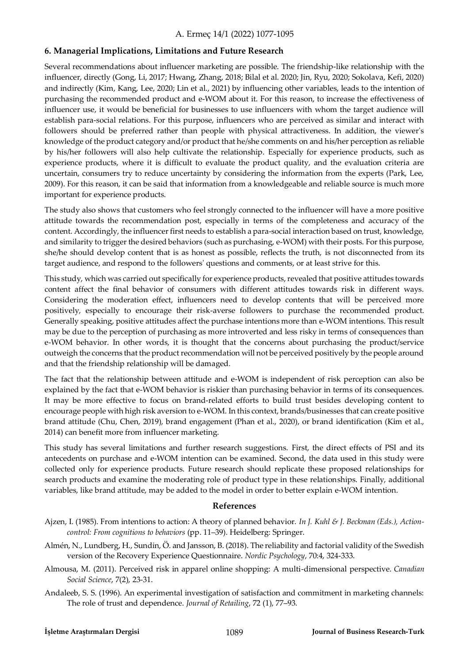## **6. Managerial Implications, Limitations and Future Research**

Several recommendations about influencer marketing are possible. The friendship-like relationship with the influencer, directly (Gong, Li, 2017; Hwang, Zhang, 2018; Bilal et al. 2020; Jin, Ryu, 2020; Sokolava, Kefi, 2020) and indirectly (Kim, Kang, Lee, 2020; Lin et al., 2021) by influencing other variables, leads to the intention of purchasing the recommended product and e-WOM about it. For this reason, to increase the effectiveness of influencer use, it would be beneficial for businesses to use influencers with whom the target audience will establish para-social relations. For this purpose, influencers who are perceived as similar and interact with followers should be preferred rather than people with physical attractiveness. In addition, the viewer's knowledge of the product category and/or product that he/she comments on and his/her perception as reliable by his/her followers will also help cultivate the relationship. Especially for experience products, such as experience products, where it is difficult to evaluate the product quality, and the evaluation criteria are uncertain, consumers try to reduce uncertainty by considering the information from the experts (Park, Lee, 2009). For this reason, it can be said that information from a knowledgeable and reliable source is much more important for experience products.

The study also shows that customers who feel strongly connected to the influencer will have a more positive attitude towards the recommendation post, especially in terms of the completeness and accuracy of the content. Accordingly, the influencer first needs to establish a para-social interaction based on trust, knowledge, and similarity to trigger the desired behaviors (such as purchasing, e-WOM) with their posts. For this purpose, she/he should develop content that is as honest as possible, reflects the truth, is not disconnected from its target audience, and respond to the followers' questions and comments, or at least strive for this.

This study, which was carried out specifically for experience products, revealed that positive attitudes towards content affect the final behavior of consumers with different attitudes towards risk in different ways. Considering the moderation effect, influencers need to develop contents that will be perceived more positively, especially to encourage their risk-averse followers to purchase the recommended product. Generally speaking, positive attitudes affect the purchase intentions more than e-WOM intentions. This result may be due to the perception of purchasing as more introverted and less risky in terms of consequences than e-WOM behavior. In other words, it is thought that the concerns about purchasing the product/service outweigh the concerns that the product recommendation will not be perceived positively by the people around and that the friendship relationship will be damaged.

The fact that the relationship between attitude and e-WOM is independent of risk perception can also be explained by the fact that e-WOM behavior is riskier than purchasing behavior in terms of its consequences. It may be more effective to focus on brand-related efforts to build trust besides developing content to encourage people with high risk aversion to e-WOM. In this context, brands/businesses that can create positive brand attitude (Chu, Chen, 2019), brand engagement (Phan et al., 2020), or brand identification (Kim et al., 2014) can benefit more from influencer marketing.

This study has several limitations and further research suggestions. First, the direct effects of PSI and its antecedents on purchase and e-WOM intention can be examined. Second, the data used in this study were collected only for experience products. Future research should replicate these proposed relationships for search products and examine the moderating role of product type in these relationships. Finally, additional variables, like brand attitude, may be added to the model in order to better explain e-WOM intention.

## **References**

- Ajzen, I. (1985). From intentions to action: A theory of planned behavior. *In J. Kuhl & J. Beckman (Eds.), Actioncontrol: From cognitions to behaviors* (pp. 11–39). Heidelberg: Springer.
- Almén, N., Lundberg, H., Sundin, Ö. and Jansson, B. (2018). The reliability and factorial validity of the Swedish version of the Recovery Experience Questionnaire. *Nordic Psychology*, 70:4, 324-333.
- Almousa, M. (2011). Perceived risk in apparel online shopping: A multi-dimensional perspective. *Canadian Social Science*, 7(2), 23-31.
- Andaleeb, S. S. (1996). An experimental investigation of satisfaction and commitment in marketing channels: The role of trust and dependence. *Journal of Retailing*, 72 (1), 77–93.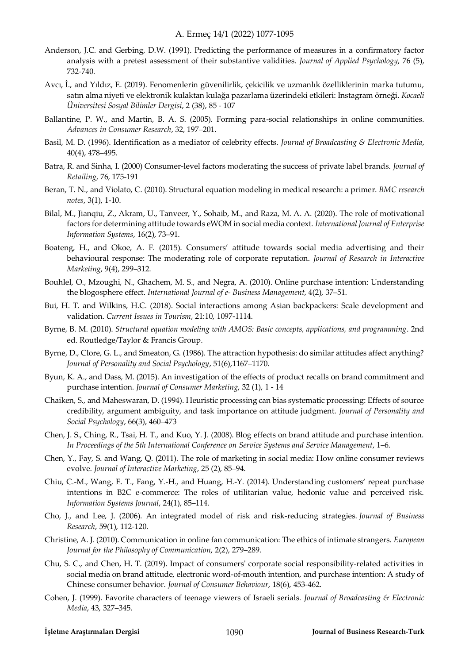- Anderson, J.C. and Gerbing, D.W. (1991). Predicting the performance of measures in a confirmatory factor analysis with a pretest assessment of their substantive validities. *Journal of Applied Psychology*, 76 (5), 732-740.
- Avcı, İ., and Yıldız, E. (2019). Fenomenlerin güvenilirlik, çekicilik ve uzmanlık özelliklerinin marka tutumu, satın alma niyeti ve elektronik kulaktan kulağa pazarlama üzerindeki etkileri: Instagram örneği. *Kocaeli Üniversitesi Sosyal Bilimler Dergisi*, 2 (38), 85 - 107
- Ballantine, P. W., and Martin, B. A. S. (2005). Forming para-social relationships in online communities. *Advances in Consumer Research*, 32, 197–201.
- Basil, M. D. (1996). Identification as a mediator of celebrity effects. *Journal of Broadcasting & Electronic Media*, 40(4), 478–495.
- Batra, R. and Sinha, I. (2000) Consumer-level factors moderating the success of private label brands. *Journal of Retailing*, 76, 175-191
- Beran, T. N., and Violato, C. (2010). Structural equation modeling in medical research: a primer. *BMC research notes*, 3(1), 1-10.
- Bilal, M., Jianqiu, Z., Akram, U., Tanveer, Y., Sohaib, M., and Raza, M. A. A. (2020). The role of motivational factors for determining attitude towards eWOM in social media context. *International Journal of Enterprise Information Systems*, 16(2), 73–91.
- Boateng, H., and Okoe, A. F. (2015). Consumers' attitude towards social media advertising and their behavioural response: The moderating role of corporate reputation. *Journal of Research in Interactive Marketing*, 9(4), 299–312.
- Bouhlel, O., Mzoughi, N., Ghachem, M. S., and Negra, A. (2010). Online purchase intention: Understanding the blogosphere effect. *International Journal of e- Business Management*, 4(2), 37–51.
- Bui, H. T. and Wilkins, H.C. (2018). Social interactions among Asian backpackers: Scale development and validation. *Current Issues in Tourism*, 21:10, 1097-1114.
- Byrne, B. M. (2010). *Structural equation modeling with AMOS: Basic concepts, applications, and programming*. 2nd ed. Routledge/Taylor & Francis Group.
- Byrne, D., Clore, G. L., and Smeaton, G. (1986). The attraction hypothesis: do similar attitudes affect anything? *Journal of Personality and Social Psychology*, 51(6),1167–1170.
- Byun, K. A., and Dass, M. (2015). An investigation of the effects of product recalls on brand commitment and purchase intention. *Journal of Consumer Marketing*, 32 (1), 1 - 14
- Chaiken, S., and Maheswaran, D. (1994). Heuristic processing can bias systematic processing: Effects of source credibility, argument ambiguity, and task importance on attitude judgment. *Journal of Personality and Social Psychology*, 66(3), 460–473
- Chen, J. S., Ching, R., Tsai, H. T., and Kuo, Y. J. (2008). Blog effects on brand attitude and purchase intention. *In Proceedings of the 5th International Conference on Service Systems and Service Management*, 1–6.
- Chen, Y., Fay, S. and Wang, Q. (2011). The role of marketing in social media: How online consumer reviews evolve. *Journal of Interactive Marketing*, 25 (2), 85–94.
- Chiu, C.-M., Wang, E. T., Fang, Y.-H., and Huang, H.-Y. (2014). Understanding customers' repeat purchase intentions in B2C e-commerce: The roles of utilitarian value, hedonic value and perceived risk. *Information Systems Journal*, 24(1), 85–114.
- Cho, J., and Lee, J. (2006). An integrated model of risk and risk-reducing strategies. *Journal of Business Research*, 59(1), 112-120.
- Christine, A. J. (2010). Communication in online fan communication: The ethics of intimate strangers. *European Journal for the Philosophy of Communication*, 2(2), 279–289.
- Chu, S. C., and Chen, H. T. (2019). Impact of consumers' corporate social responsibility‐related activities in social media on brand attitude, electronic word‐of‐mouth intention, and purchase intention: A study of Chinese consumer behavior. *Journal of Consumer Behaviour*, 18(6), 453-462.
- Cohen, J. (1999). Favorite characters of teenage viewers of Israeli serials. *Journal of Broadcasting & Electronic Media*, 43, 327–345.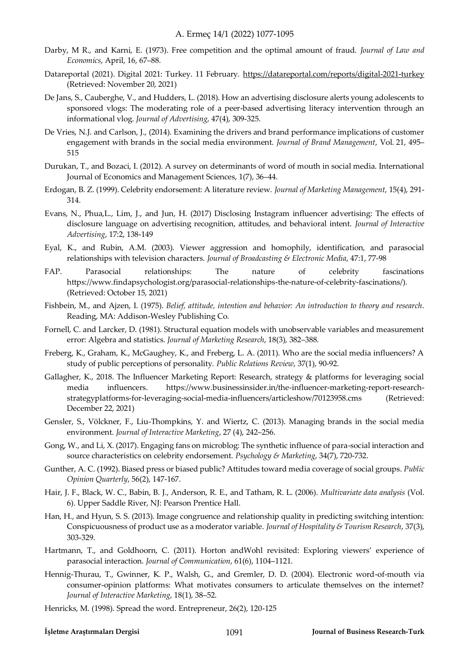- Darby, M R., and Karni, E. (1973). Free competition and the optimal amount of fraud. *Journal of Law and Economics*, April, 16, 67–88.
- Datareportal (2021). Digital 2021: Turkey. 11 February.<https://datareportal.com/reports/digital-2021-turkey> (Retrieved: November 20, 2021)
- De Jans, S., Cauberghe, V., and Hudders, L. (2018). How an advertising disclosure alerts young adolescents to sponsored vlogs: The moderating role of a peer-based advertising literacy intervention through an informational vlog. *Journal of Advertising*, 47(4), 309-325.
- De Vries, N.J. and Carlson, J., (2014). Examining the drivers and brand performance implications of customer engagement with brands in the social media environment. *Journal of Brand Management*, Vol. 21, 495– 515
- Durukan, T., and Bozaci, I. (2012). A survey on determinants of word of mouth in social media. International Journal of Economics and Management Sciences, 1(7), 36–44.
- Erdogan, B. Z. (1999). Celebrity endorsement: A literature review. *Journal of Marketing Management*, 15(4), 291- 314.
- Evans, N., Phua,L., Lim, J., and Jun, H. (2017) Disclosing Instagram influencer advertising: The effects of disclosure language on advertising recognition, attitudes, and behavioral intent. *Journal of Interactive Advertising*, 17:2, 138-149
- Eyal, K., and Rubin, A.M. (2003). Viewer aggression and homophily, identification, and parasocial relationships with television characters. *Journal of Broadcasting & Electronic Media*, 47:1, 77-98
- FAP. Parasocial relationships: The nature of celebrity fascinations [https://www.findapsychologist.org/parasocial-relationships-the-nature-of-celebrity-fascinations/\)](https://www.findapsychologist.org/parasocial-relationships-the-nature-of-celebrity-fascinations/). (Retrieved: October 15, 2021)
- Fishbein, M., and Ajzen, I. (1975). *Belief, attitude, intention and behavior: An introduction to theory and research*. Reading, MA: Addison-Wesley Publishing Co.
- Fornell, C. and Larcker, D. (1981). Structural equation models with unobservable variables and measurement error: Algebra and statistics. *Journal of Marketing Research*, 18(3), 382–388.
- Freberg, K., Graham, K., McGaughey, K., and Freberg, L. A. (2011). Who are the social media influencers? A study of public perceptions of personality. *Public Relations Review*, 37(1), 90-92.
- Gallagher, K., 2018. The Influencer Marketing Report: Research, strategy & platforms for leveraging social media influencers. https://www.businessinsider.in/the-influencer-marketing-report-researchstrategyplatforms-for-leveraging-social-media-influencers/articleshow/70123958.cms (Retrieved: December 22, 2021)
- Gensler, S., Völckner, F., Liu-Thompkins, Y. and Wiertz, C. (2013). Managing brands in the social media environment. *Journal of Interactive Marketing*, 27 (4), 242–256.
- Gong, W., and Li, X. (2017). Engaging fans on microblog: The synthetic influence of para-social interaction and source characteristics on celebrity endorsement. *Psychology & Marketing*, 34(7), 720-732.
- Gunther, A. C. (1992). Biased press or biased public? Attitudes toward media coverage of social groups. *Public Opinion Quarterly*, 56(2), 147-167.
- Hair, J. F., Black, W. C., Babin, B. J., Anderson, R. E., and Tatham, R. L. (2006). *Multivariate data analysis* (Vol. 6). Upper Saddle River, NJ: Pearson Prentice Hall.
- Han, H., and Hyun, S. S. (2013). Image congruence and relationship quality in predicting switching intention: Conspicuousness of product use as a moderator variable. *Journal of Hospitality & Tourism Research*, 37(3), 303-329.
- Hartmann, T., and Goldhoorn, C. (2011). Horton andWohl revisited: Exploring viewers' experience of parasocial interaction. *Journal of Communication*, 61(6), 1104–1121.
- Hennig-Thurau, T., Gwinner, K. P., Walsh, G., and Gremler, D. D. (2004). Electronic word-of-mouth via consumer-opinion platforms: What motivates consumers to articulate themselves on the internet? *Journal of Interactive Marketing*, 18(1), 38–52.
- Henricks, M. (1998). Spread the word. Entrepreneur, 26(2), 120-125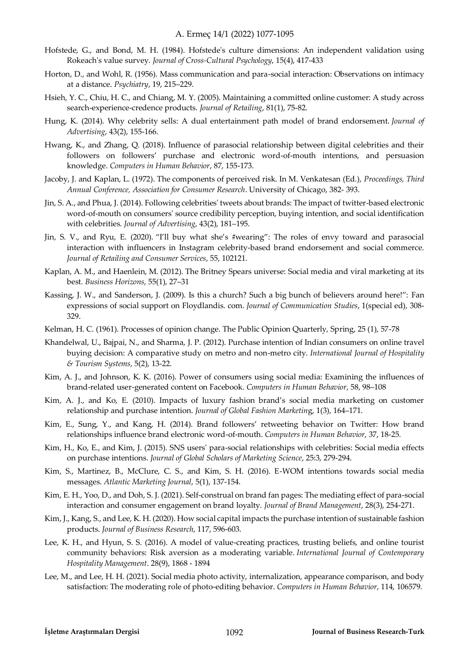- Hofstede, G., and Bond, M. H. (1984). Hofstede's culture dimensions: An independent validation using Rokeach's value survey. *Journal of Cross-Cultural Psychology*, 15(4), 417-433
- Horton, D., and Wohl, R. (1956). Mass communication and para-social interaction: Observations on intimacy at a distance. *Psychiatry*, 19, 215–229.
- Hsieh, Y. C., Chiu, H. C., and Chiang, M. Y. (2005). Maintaining a committed online customer: A study across search-experience-credence products. *Journal of Retailing*, 81(1), 75-82.
- Hung, K. (2014). Why celebrity sells: A dual entertainment path model of brand endorsement. *Journal of Advertising*, 43(2), 155-166.
- Hwang, K., and Zhang, Q. (2018). Influence of parasocial relationship between digital celebrities and their followers on followers' purchase and electronic word-of-mouth intentions, and persuasion knowledge. *Computers in Human Behavior*, 87, 155-173.
- Jacoby, J. and Kaplan, L. (1972). The components of perceived risk. In M. Venkatesan (Ed.), *Proceedings, Third Annual Conference, Association for Consumer Research*. University of Chicago, 382- 393.
- Jin, S. A., and Phua, J. (2014). Following celebrities' tweets about brands: The impact of twitter-based electronic word-of-mouth on consumers' source credibility perception, buying intention, and social identification with celebrities. *Journal of Advertising*, 43(2), 181–195.
- Jin, S. V., and Ryu, E. (2020). "I'll buy what she's #wearing": The roles of envy toward and parasocial interaction with influencers in Instagram celebrity-based brand endorsement and social commerce. *Journal of Retailing and Consumer Services*, 55, 102121.
- Kaplan, A. M., and Haenlein, M. (2012). The Britney Spears universe: Social media and viral marketing at its best*. Business Horizons*, 55(1), 27–31
- Kassing, J. W., and Sanderson, J. (2009). Is this a church? Such a big bunch of believers around here!": Fan expressions of social support on Floydlandis. com. *Journal of Communication Studies*, 1(special ed), 308- 329.
- Kelman, H. C. (1961). Processes of opinion change. The Public Opinion Quarterly, Spring, 25 (1), 57-78
- Khandelwal, U., Bajpai, N., and Sharma, J. P. (2012). Purchase intention of Indian consumers on online travel buying decision: A comparative study on metro and non-metro city. *International Journal of Hospitality & Tourism Systems*, 5(2), 13-22.
- Kim, A. J., and Johnson, K. K. (2016). Power of consumers using social media: Examining the influences of brand-related user-generated content on Facebook. *Computers in Human Behavior*, 58, 98–108
- Kim, A. J., and Ko, E. (2010). Impacts of luxury fashion brand's social media marketing on customer relationship and purchase intention. *Journal of Global Fashion Marketin*g, 1(3), 164–171.
- Kim, E., Sung, Y., and Kang, H. (2014). Brand followers' retweeting behavior on Twitter: How brand relationships influence brand electronic word-of-mouth. *Computers in Human Behavior*, 37, 18-25.
- Kim, H., Ko, E., and Kim, J. (2015). SNS users' para-social relationships with celebrities: Social media effects on purchase intentions. *Journal of Global Scholars of Marketing Science*, 25:3, 279-294.
- Kim, S., Martinez, B., McClure, C. S., and Kim, S. H. (2016). E-WOM intentions towards social media messages. *Atlantic Marketing Journal*, 5(1), 137-154.
- Kim, E. H., Yoo, D., and Doh, S. J. (2021). Self-construal on brand fan pages: The mediating effect of para-social interaction and consumer engagement on brand loyalty. *Journal of Brand Management*, 28(3), 254-271.
- Kim, J., Kang, S., and Lee, K. H. (2020). How social capital impacts the purchase intention of sustainable fashion products. *Journal of Business Research*, 117, 596-603.
- Lee, K. H., and Hyun, S. S. (2016). A model of value-creating practices, trusting beliefs, and online tourist community behaviors: Risk aversion as a moderating variable. *International Journal of Contemporary Hospitality Management*. 28(9), 1868 - 1894
- Lee, M., and Lee, H. H. (2021). Social media photo activity, internalization, appearance comparison, and body satisfaction: The moderating role of photo-editing behavior. *Computers in Human Behavior*, 114, 106579.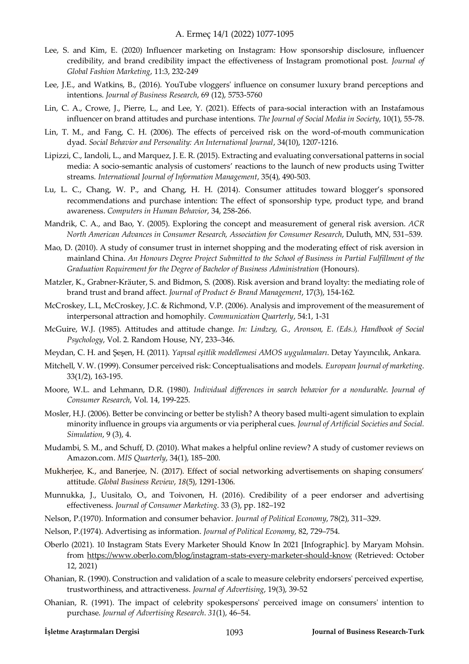- Lee, S. and Kim, E. (2020) Influencer marketing on Instagram: How sponsorship disclosure, influencer credibility, and brand credibility impact the effectiveness of Instagram promotional post. *Journal of Global Fashion Marketing*, 11:3, 232-249
- Lee, J.E., and Watkins, B., (2016). YouTube vloggers' influence on consumer luxury brand perceptions and intentions. *Journal of Business Research*, 69 (12), 5753-5760
- Lin, C. A., Crowe, J., Pierre, L., and Lee, Y. (2021). Effects of para-social interaction with an Instafamous influencer on brand attitudes and purchase intentions. *The Journal of Social Media in Society*, 10(1), 55-78.
- Lin, T. M., and Fang, C. H. (2006). The effects of perceived risk on the word-of-mouth communication dyad. *Social Behavior and Personality: An International Journal*, 34(10), 1207-1216.
- Lipizzi, C., Iandoli, L., and Marquez, J. E. R. (2015). Extracting and evaluating conversational patterns in social media: A socio-semantic analysis of customers' reactions to the launch of new products using Twitter streams. *International Journal of Information Management*, 35(4), 490-503.
- Lu, L. C., Chang, W. P., and Chang, H. H. (2014). Consumer attitudes toward blogger's sponsored recommendations and purchase intention: The effect of sponsorship type, product type, and brand awareness. *Computers in Human Behavior*, 34, 258-266.
- Mandrik, C. A., and Bao, Y. (2005). Exploring the concept and measurement of general risk aversion. *ACR North American Advances in Consumer Research, Association for Consumer Research*, Duluth, MN, 531–539.
- Mao, D. (2010). A study of consumer trust in internet shopping and the moderating effect of risk aversion in mainland China. *An Honours Degree Project Submitted to the School of Business in Partial Fulfillment of the Graduation Requirement for the Degree of Bachelor of Business Administration* (Honours).
- [Matzler, K.,](https://www.emerald.com/insight/search?q=Kurt%20Matzler) [Grabner‐Kräuter, S.](https://www.emerald.com/insight/search?q=Sonja%20Grabner%E2%80%90Kr%C3%A4uter) an[d Bidmon, S. \(](https://www.emerald.com/insight/search?q=Sonja%20Bidmon)2008). Risk aversion and brand loyalty: the mediating role of brand trust and brand affect. *Journal of Product & Brand Management*, 17(3), 154-162.
- McCroskey, L.L, McCroskey, J.C. & Richmond, V.P. (2006). Analysis and improvement of the measurement of interpersonal attraction and homophily. *Communication Quarterly*, 54:1, 1-31
- McGuire, W.J. (1985). Attitudes and attitude change. *In: Lindzey, G., Aronson, E. (Eds.), Handbook of Social Psychology*, Vol. 2. Random House, NY, 233–346.
- Meydan, C. H. and Şeşen, H. (2011). *Yapısal eşitlik modellemesi AMOS uygulamaları*. Detay Yayıncılık, Ankara.
- Mitchell, V. W. (1999). Consumer perceived risk: Conceptualisations and models. *European Journal of marketing*. 33(1/2), 163-195.
- Moore, W.L. and Lehmann, D.R. (1980). *Individual differences in search behavior for a nondurable*. *Journal of Consumer Research*, Vol. 14, 199-225.
- Mosler, H.J. (2006). Better be convincing or better be stylish? A theory based multi-agent simulation to explain minority influence in groups via arguments or via peripheral cues. *Journal of Artificial Societies and Social. Simulation*, 9 (3), 4.
- Mudambi, S. M., and Schuff, D. (2010). What makes a helpful online review? A study of customer reviews on Amazon.com. *MIS Quarterly*, 34(1), 185–200.
- Mukherjee, K., and Banerjee, N. (2017). Effect of social networking advertisements on shaping consumers' attitude. *Global Business Review*, *18*(5), 1291-1306.
- Munnukka, J., Uusitalo, O., and Toivonen, H. (2016). Credibility of a peer endorser and advertising effectiveness. *Journal of Consumer Marketing*. 33 (3), pp. 182–192
- Nelson, P.(1970). Information and consumer behavior. *Journal of Political Economy*, 78(2), 311–329.
- Nelson, P.(1974). Advertising as information. *Journal of Political Economy*, 82, 729–754.
- Oberlo (2021). 10 Instagram Stats Every Marketer Should Know In 2021 [Infographic]. by Maryam Mohsin. from<https://www.oberlo.com/blog/instagram-stats-every-marketer-should-know>(Retrieved: October 12, 2021)
- Ohanian, R. (1990). Construction and validation of a scale to measure celebrity endorsers' perceived expertise, trustworthiness, and attractiveness. *Journal of Advertising*, 19(3), 39-52
- Ohanian, R. (1991). The impact of celebrity spokespersons' perceived image on consumers' intention to purchase. *Journal of Advertising Research*. *31*(1), 46–54.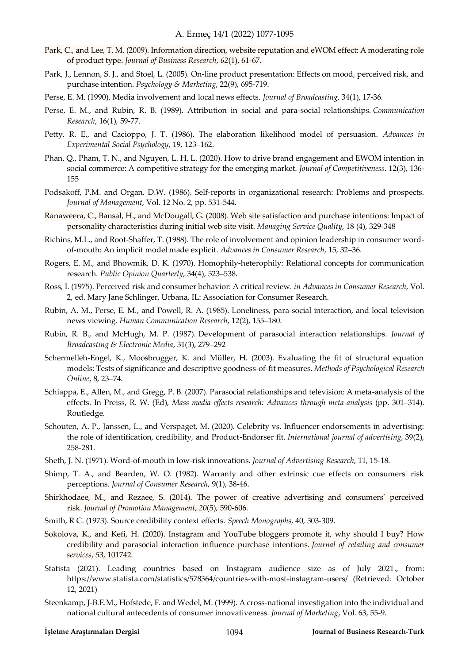- Park, C., and Lee, T. M. (2009). Information direction, website reputation and eWOM effect: A moderating role of product type. *Journal of Business Research*, *62*(1), 61-67.
- Park, J., Lennon, S. J., and Stoel, L. (2005). On‐line product presentation: Effects on mood, perceived risk, and purchase intention. *Psychology & Marketing*, 22(9), 695-719.
- Perse, E. M. (1990). Media involvement and local news effects. *Journal of Broadcasting*, 34(1), 17-36.
- Perse, E. M., and Rubin, R. B. (1989). Attribution in social and para-social relationships. *Communication Research*, 16(1), 59-77.
- Petty, R. E., and Cacioppo, J. T. (1986). The elaboration likelihood model of persuasion. *Advances in Experimental Social Psychology*, 19, 123–162.
- Phan, Q., Pham, T. N., and Nguyen, L. H. L. (2020). How to drive brand engagement and EWOM intention in social commerce: A competitive strategy for the emerging market. *Journal of Competitiveness*. 12(3), 136- 155
- Podsakoff, P.M. and Organ, D.W. (1986). Self-reports in organizational research: Problems and prospects. *Journal of Management*, Vol. 12 No. 2, pp. 531-544.
- Ranaweera, C., Bansal, H., and McDougall, G. (2008). Web site satisfaction and purchase intentions: Impact of personality characteristics during initial web site visit. *Managing Service Quality*, 18 (4), 329-348
- Richins, M.L., and Root-Shaffer, T. (1988). The role of involvement and opinion leadership in consumer wordof-mouth: An implicit model made explicit. *Advances in Consumer Research*, 15, 32–36.
- Rogers, E. M., and Bhowmik, D. K. (1970). Homophily-heterophily: Relational concepts for communication research. *Public Opinion Quarterly*, 34(4), 523–538.
- Ross, I. (1975). Perceived risk and consumer behavior: A critical review. *in Advances in Consumer Research*, Vol. 2, ed. Mary Jane Schlinger, Urbana, IL: Association for Consumer Research.
- Rubin, A. M., Perse, E. M., and Powell, R. A. (1985). Loneliness, para-social interaction, and local television news viewing. *Human Communication Research*, 12(2), 155–180.
- Rubin, R. B., and McHugh, M. P. (1987). Development of parasocial interaction relationships. *Journal of Broadcasting & Electronic Media*, 31(3), 279–292
- Schermelleh-Engel, K., Moosbrugger, K. and Müller, H. (2003). Evaluating the fit of structural equation models: Tests of significance and descriptive goodness-of-fit measures. *Methods of Psychological Research Online*, 8, 23–74.
- Schiappa, E., Allen, M., and Gregg, P. B. (2007). Parasocial relationships and television: A meta-analysis of the effects. In Preiss, R. W. (Ed), *Mass media effects research: Advances through meta-analysis* (pp. 301–314). Routledge.
- Schouten, A. P., Janssen, L., and Verspaget, M. (2020). Celebrity vs. Influencer endorsements in advertising: the role of identification, credibility, and Product-Endorser fit. *International journal of advertising*, 39(2), 258-281.
- Sheth, J. N. (1971). Word-of-mouth in low-risk innovations. *Journal of Advertising Research*, 11, 15-18.
- Shimp, T. A., and Bearden, W. O. (1982). Warranty and other extrinsic cue effects on consumers' risk perceptions. *Journal of Consumer Research*, 9(1), 38-46.
- Shirkhodaee, M., and Rezaee, S. (2014). The power of creative advertising and consumers' perceived risk. *Journal of Promotion Management*, *20*(5), 590-606.
- Smith, R C. (1973). Source credibility context effects. *Speech Monographs*, 40, 303-309.
- Sokolova, K., and Kefi, H. (2020). Instagram and YouTube bloggers promote it, why should I buy? How credibility and parasocial interaction influence purchase intentions. *Journal of retailing and consumer services*, *53*, 101742.
- Statista (2021). Leading countries based on Instagram audience size as of July 2021., from: https://www.statista.com/statistics/578364/countries-with-most-instagram-users/ (Retrieved: October 12, 2021)
- Steenkamp, J-B.E.M., Hofstede, F. and Wedel, M. (1999). A cross-national investigation into the individual and national cultural antecedents of consumer innovativeness. *Journal of Marketing*, Vol. 63, 55-9.